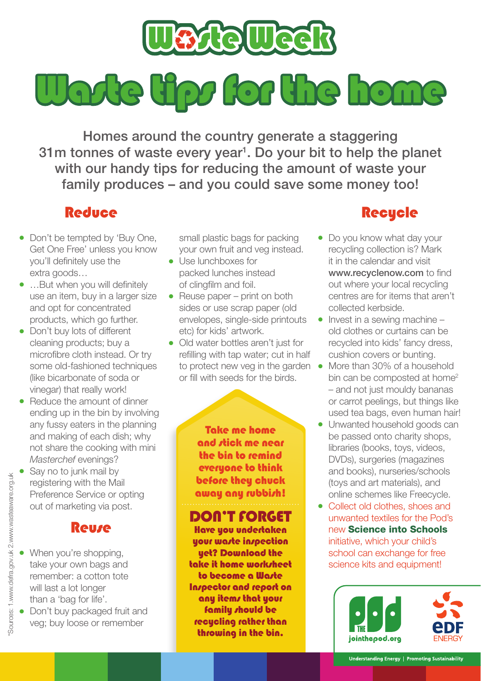

Watte tips for the home

Homes around the country generate a staggering 31m tonnes of waste every year<sup>1</sup>. Do your bit to help the planet with our handy tips for reducing the amount of waste your family produces – and you could save some money too!

# **Reduce**

- Don't be tempted by 'Buy One, Get One Free' unless you know you'll definitely use the extra goods…
- …But when you will definitely use an item, buy in a larger size and opt for concentrated products, which go further.
- Don't buy lots of different cleaning products; buy a microfibre cloth instead. Or try some old-fashioned techniques (like bicarbonate of soda or vinegar) that really work!
- $\bullet$  Reduce the amount of dinner ending up in the bin by involving any fussy eaters in the planning and making of each dish; why not share the cooking with mini Masterchef evenings?
- Say no to junk mail by registering with the Mail Preference Service or opting out of marketing via post.

## Reuse

- When you're shopping, take your own bags and remember: a cotton tote will last a lot longer than a 'bag for life'.
- Don't buy packaged fruit and veg; buy loose or remember

small plastic bags for packing your own fruit and veg instead.

- **.** Use lunchboxes for packed lunches instead of clingfilm and foil.
- $\bullet$  Reuse paper print on both sides or use scrap paper (old envelopes, single-side printouts etc) for kids' artwork.
- Old water bottles aren't just for refilling with tap water; cut in half or fill with seeds for the birds.

Take me home and stick me near the bin to remind everyone to think before they chuck away any rubbish!

### Don't forget

Have you undertaken your wa*r*te inspection yet? Download the take it home worksheet to become a Warte Inspector and report on any items that your family should be recycling rather than throwing in the bin.

# **Recycle**

- Do you know what day your recycling collection is? Mark it in the calendar and visit www.recyclenow.com to find out where your local recycling centres are for items that aren't collected kerbside.
- $\bullet$  Invest in a sewing machine old clothes or curtains can be recycled into kids' fancy dress, cushion covers or bunting.
- to protect new veg in the garden More than 30% of a household bin can be composted at home<sup>2</sup> – and not just mouldy bananas or carrot peelings, but things like used tea bags, even human hair!
	- Unwanted household goods can be passed onto charity shops, libraries (books, toys, videos, DVDs), surgeries (magazines and books), nurseries/schools (toys and art materials), and online schemes like Freecycle.
	- Collect old clothes, shoes and unwanted textiles for the Pod's new Science into Schools initiative, which your child's school can exchange for free science kits and equipment!